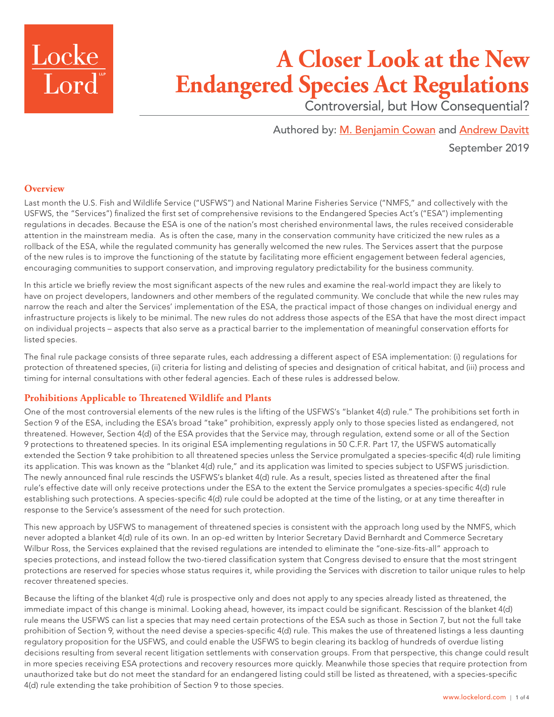

# **A Closer Look at the New Endangered Species Act Regulations**

Controversial, but How Consequential?

Authored by: [M. Benjamin Cowan](https://www.lockelord.com/professionals/c/cowan-m-benjamin?lang=en) and [Andrew Davitt](https://www.lockelord.com/professionals/d/davitt-andrew?lang=en) September 2019

## **Overview**

Last month the U.S. Fish and Wildlife Service ("USFWS") and National Marine Fisheries Service ("NMFS," and collectively with the USFWS, the "Services") finalized the first set of comprehensive revisions to the Endangered Species Act's ("ESA") implementing regulations in decades. Because the ESA is one of the nation's most cherished environmental laws, the rules received considerable attention in the mainstream media. As is often the case, many in the conservation community have criticized the new rules as a rollback of the ESA, while the regulated community has generally welcomed the new rules. The Services assert that the purpose of the new rules is to improve the functioning of the statute by facilitating more efficient engagement between federal agencies, encouraging communities to support conservation, and improving regulatory predictability for the business community.

In this article we briefly review the most significant aspects of the new rules and examine the real-world impact they are likely to have on project developers, landowners and other members of the regulated community. We conclude that while the new rules may narrow the reach and alter the Services' implementation of the ESA, the practical impact of those changes on individual energy and infrastructure projects is likely to be minimal. The new rules do not address those aspects of the ESA that have the most direct impact on individual projects – aspects that also serve as a practical barrier to the implementation of meaningful conservation efforts for listed species.

The final rule package consists of three separate rules, each addressing a different aspect of ESA implementation: (i) regulations for protection of threatened species, (ii) criteria for listing and delisting of species and designation of critical habitat, and (iii) process and timing for internal consultations with other federal agencies. Each of these rules is addressed below.

## **Prohibitions Applicable to Threatened Wildlife and Plants**

One of the most controversial elements of the new rules is the lifting of the USFWS's "blanket 4(d) rule." The prohibitions set forth in Section 9 of the ESA, including the ESA's broad "take" prohibition, expressly apply only to those species listed as endangered, not threatened. However, Section 4(d) of the ESA provides that the Service may, through regulation, extend some or all of the Section 9 protections to threatened species. In its original ESA implementing regulations in 50 C.F.R. Part 17, the USFWS automatically extended the Section 9 take prohibition to all threatened species unless the Service promulgated a species-specific 4(d) rule limiting its application. This was known as the "blanket 4(d) rule," and its application was limited to species subject to USFWS jurisdiction. The newly announced final rule rescinds the USFWS's blanket 4(d) rule. As a result, species listed as threatened after the final rule's effective date will only receive protections under the ESA to the extent the Service promulgates a species-specific 4(d) rule establishing such protections. A species-specific 4(d) rule could be adopted at the time of the listing, or at any time thereafter in response to the Service's assessment of the need for such protection.

This new approach by USFWS to management of threatened species is consistent with the approach long used by the NMFS, which never adopted a blanket 4(d) rule of its own. In an op-ed written by Interior Secretary David Bernhardt and Commerce Secretary Wilbur Ross, the Services explained that the revised regulations are intended to eliminate the "one-size-fits-all" approach to species protections, and instead follow the two-tiered classification system that Congress devised to ensure that the most stringent protections are reserved for species whose status requires it, while providing the Services with discretion to tailor unique rules to help recover threatened species.

Because the lifting of the blanket 4(d) rule is prospective only and does not apply to any species already listed as threatened, the immediate impact of this change is minimal. Looking ahead, however, its impact could be significant. Rescission of the blanket 4(d) rule means the USFWS can list a species that may need certain protections of the ESA such as those in Section 7, but not the full take prohibition of Section 9, without the need devise a species-specific 4(d) rule. This makes the use of threatened listings a less daunting regulatory proposition for the USFWS, and could enable the USFWS to begin clearing its backlog of hundreds of overdue listing decisions resulting from several recent litigation settlements with conservation groups. From that perspective, this change could result in more species receiving ESA protections and recovery resources more quickly. Meanwhile those species that require protection from unauthorized take but do not meet the standard for an endangered listing could still be listed as threatened, with a species-specific 4(d) rule extending the take prohibition of Section 9 to those species.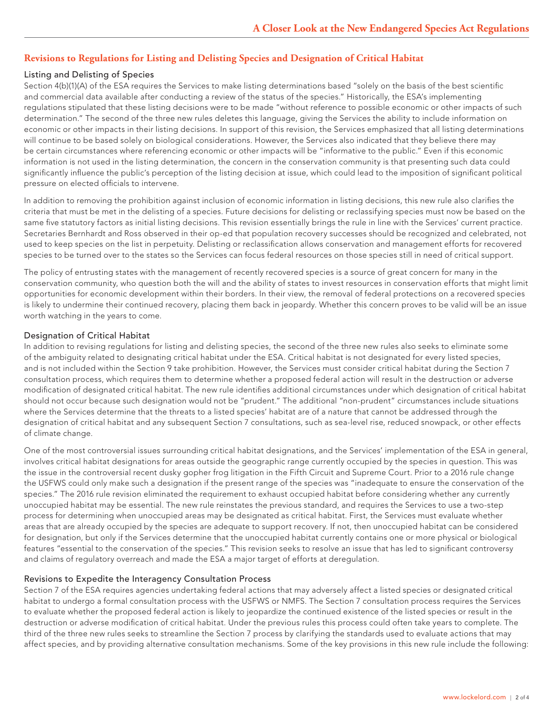#### **Revisions to Regulations for Listing and Delisting Species and Designation of Critical Habitat**

#### Listing and Delisting of Species

Section 4(b)(1)(A) of the ESA requires the Services to make listing determinations based "solely on the basis of the best scientific and commercial data available after conducting a review of the status of the species." Historically, the ESA's implementing regulations stipulated that these listing decisions were to be made "without reference to possible economic or other impacts of such determination." The second of the three new rules deletes this language, giving the Services the ability to include information on economic or other impacts in their listing decisions. In support of this revision, the Services emphasized that all listing determinations will continue to be based solely on biological considerations. However, the Services also indicated that they believe there may be certain circumstances where referencing economic or other impacts will be "informative to the public." Even if this economic information is not used in the listing determination, the concern in the conservation community is that presenting such data could significantly influence the public's perception of the listing decision at issue, which could lead to the imposition of significant political pressure on elected officials to intervene.

In addition to removing the prohibition against inclusion of economic information in listing decisions, this new rule also clarifies the criteria that must be met in the delisting of a species. Future decisions for delisting or reclassifying species must now be based on the same five statutory factors as initial listing decisions. This revision essentially brings the rule in line with the Services' current practice. Secretaries Bernhardt and Ross observed in their op-ed that population recovery successes should be recognized and celebrated, not used to keep species on the list in perpetuity. Delisting or reclassification allows conservation and management efforts for recovered species to be turned over to the states so the Services can focus federal resources on those species still in need of critical support.

The policy of entrusting states with the management of recently recovered species is a source of great concern for many in the conservation community, who question both the will and the ability of states to invest resources in conservation efforts that might limit opportunities for economic development within their borders. In their view, the removal of federal protections on a recovered species is likely to undermine their continued recovery, placing them back in jeopardy. Whether this concern proves to be valid will be an issue worth watching in the years to come.

#### Designation of Critical Habitat

In addition to revising regulations for listing and delisting species, the second of the three new rules also seeks to eliminate some of the ambiguity related to designating critical habitat under the ESA. Critical habitat is not designated for every listed species, and is not included within the Section 9 take prohibition. However, the Services must consider critical habitat during the Section 7 consultation process, which requires them to determine whether a proposed federal action will result in the destruction or adverse modification of designated critical habitat. The new rule identifies additional circumstances under which designation of critical habitat should not occur because such designation would not be "prudent." The additional "non-prudent" circumstances include situations where the Services determine that the threats to a listed species' habitat are of a nature that cannot be addressed through the designation of critical habitat and any subsequent Section 7 consultations, such as sea-level rise, reduced snowpack, or other effects of climate change.

One of the most controversial issues surrounding critical habitat designations, and the Services' implementation of the ESA in general, involves critical habitat designations for areas outside the geographic range currently occupied by the species in question. This was the issue in the controversial recent dusky gopher frog litigation in the Fifth Circuit and Supreme Court. Prior to a 2016 rule change the USFWS could only make such a designation if the present range of the species was "inadequate to ensure the conservation of the species." The 2016 rule revision eliminated the requirement to exhaust occupied habitat before considering whether any currently unoccupied habitat may be essential. The new rule reinstates the previous standard, and requires the Services to use a two-step process for determining when unoccupied areas may be designated as critical habitat. First, the Services must evaluate whether areas that are already occupied by the species are adequate to support recovery. If not, then unoccupied habitat can be considered for designation, but only if the Services determine that the unoccupied habitat currently contains one or more physical or biological features "essential to the conservation of the species." This revision seeks to resolve an issue that has led to significant controversy and claims of regulatory overreach and made the ESA a major target of efforts at deregulation.

#### Revisions to Expedite the Interagency Consultation Process

Section 7 of the ESA requires agencies undertaking federal actions that may adversely affect a listed species or designated critical habitat to undergo a formal consultation process with the USFWS or NMFS. The Section 7 consultation process requires the Services to evaluate whether the proposed federal action is likely to jeopardize the continued existence of the listed species or result in the destruction or adverse modification of critical habitat. Under the previous rules this process could often take years to complete. The third of the three new rules seeks to streamline the Section 7 process by clarifying the standards used to evaluate actions that may affect species, and by providing alternative consultation mechanisms. Some of the key provisions in this new rule include the following: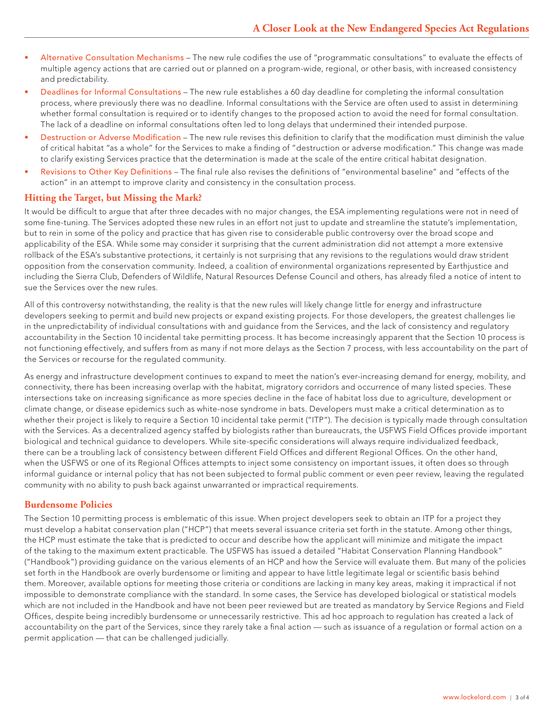- Alternative Consultation Mechanisms The new rule codifies the use of "programmatic consultations" to evaluate the effects of multiple agency actions that are carried out or planned on a program-wide, regional, or other basis, with increased consistency and predictability.
- Deadlines for Informal Consultations The new rule establishes a 60 day deadline for completing the informal consultation process, where previously there was no deadline. Informal consultations with the Service are often used to assist in determining whether formal consultation is required or to identify changes to the proposed action to avoid the need for formal consultation. The lack of a deadline on informal consultations often led to long delays that undermined their intended purpose.
- Destruction or Adverse Modification The new rule revises this definition to clarify that the modification must diminish the value of critical habitat "as a whole" for the Services to make a finding of "destruction or adverse modification." This change was made to clarify existing Services practice that the determination is made at the scale of the entire critical habitat designation.
- Revisions to Other Key Definitions The final rule also revises the definitions of "environmental baseline" and "effects of the action" in an attempt to improve clarity and consistency in the consultation process.

## **Hitting the Target, but Missing the Mark?**

It would be difficult to argue that after three decades with no major changes, the ESA implementing regulations were not in need of some fine-tuning. The Services adopted these new rules in an effort not just to update and streamline the statute's implementation, but to rein in some of the policy and practice that has given rise to considerable public controversy over the broad scope and applicability of the ESA. While some may consider it surprising that the current administration did not attempt a more extensive rollback of the ESA's substantive protections, it certainly is not surprising that any revisions to the regulations would draw strident opposition from the conservation community. Indeed, a coalition of environmental organizations represented by Earthjustice and including the Sierra Club, Defenders of Wildlife, Natural Resources Defense Council and others, has already filed a notice of intent to sue the Services over the new rules.

All of this controversy notwithstanding, the reality is that the new rules will likely change little for energy and infrastructure developers seeking to permit and build new projects or expand existing projects. For those developers, the greatest challenges lie in the unpredictability of individual consultations with and guidance from the Services, and the lack of consistency and regulatory accountability in the Section 10 incidental take permitting process. It has become increasingly apparent that the Section 10 process is not functioning effectively, and suffers from as many if not more delays as the Section 7 process, with less accountability on the part of the Services or recourse for the regulated community.

As energy and infrastructure development continues to expand to meet the nation's ever-increasing demand for energy, mobility, and connectivity, there has been increasing overlap with the habitat, migratory corridors and occurrence of many listed species. These intersections take on increasing significance as more species decline in the face of habitat loss due to agriculture, development or climate change, or disease epidemics such as white-nose syndrome in bats. Developers must make a critical determination as to whether their project is likely to require a Section 10 incidental take permit ("ITP"). The decision is typically made through consultation with the Services. As a decentralized agency staffed by biologists rather than bureaucrats, the USFWS Field Offices provide important biological and technical guidance to developers. While site-specific considerations will always require individualized feedback, there can be a troubling lack of consistency between different Field Offices and different Regional Offices. On the other hand, when the USFWS or one of its Regional Offices attempts to inject some consistency on important issues, it often does so through informal guidance or internal policy that has not been subjected to formal public comment or even peer review, leaving the regulated community with no ability to push back against unwarranted or impractical requirements.

## **Burdensome Policies**

The Section 10 permitting process is emblematic of this issue. When project developers seek to obtain an ITP for a project they must develop a habitat conservation plan ("HCP") that meets several issuance criteria set forth in the statute. Among other things, the HCP must estimate the take that is predicted to occur and describe how the applicant will minimize and mitigate the impact of the taking to the maximum extent practicable. The USFWS has issued a detailed "Habitat Conservation Planning Handbook" ("Handbook") providing guidance on the various elements of an HCP and how the Service will evaluate them. But many of the policies set forth in the Handbook are overly burdensome or limiting and appear to have little legitimate legal or scientific basis behind them. Moreover, available options for meeting those criteria or conditions are lacking in many key areas, making it impractical if not impossible to demonstrate compliance with the standard. In some cases, the Service has developed biological or statistical models which are not included in the Handbook and have not been peer reviewed but are treated as mandatory by Service Regions and Field Offices, despite being incredibly burdensome or unnecessarily restrictive. This ad hoc approach to regulation has created a lack of accountability on the part of the Services, since they rarely take a final action — such as issuance of a regulation or formal action on a permit application — that can be challenged judicially.